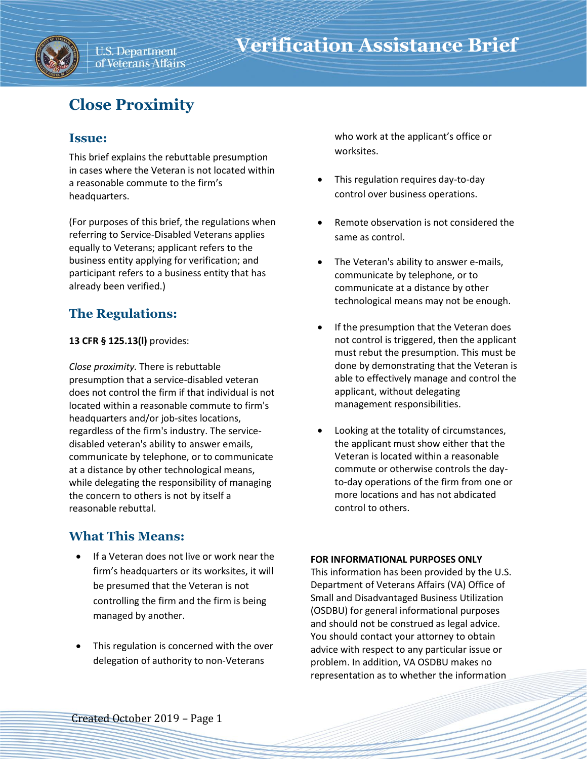# **Close Proximity**

### **Issue:**

This brief explains the rebuttable presumption in cases where the Veteran is not located within a reasonable commute to the firm's headquarters.

(For purposes of this brief, the regulations when referring to Service-Disabled Veterans applies equally to Veterans; applicant refers to the business entity applying for verification; and participant refers to a business entity that has already been verified.)

## **The Regulations:**

#### **13 CFR § 125.13(l)** provides:

*Close proximity.* There is rebuttable presumption that a service-disabled veteran does not control the firm if that individual is not located within a reasonable commute to firm's headquarters and/or job-sites locations, regardless of the firm's industry. The servicedisabled veteran's ability to answer emails, communicate by telephone, or to communicate at a distance by other technological means, while delegating the responsibility of managing the concern to others is not by itself a reasonable rebuttal.

## **What This Means:**

- If a Veteran does not live or work near the firm's headquarters or its worksites, it will be presumed that the Veteran is not controlling the firm and the firm is being managed by another.
- This regulation is concerned with the over delegation of authority to non-Veterans

who work at the applicant's office or worksites.

- This regulation requires day-to-day control over business operations.
- Remote observation is not considered the same as control.
- The Veteran's ability to answer e-mails, communicate by telephone, or to communicate at a distance by other technological means may not be enough.
- If the presumption that the Veteran does not control is triggered, then the applicant must rebut the presumption. This must be done by demonstrating that the Veteran is able to effectively manage and control the applicant, without delegating management responsibilities.
- Looking at the totality of circumstances, the applicant must show either that the Veteran is located within a reasonable commute or otherwise controls the dayto-day operations of the firm from one or more locations and has not abdicated control to others.

#### **FOR INFORMATIONAL PURPOSES ONLY**

This information has been provided by the U.S. Department of Veterans Affairs (VA) Office of Small and Disadvantaged Business Utilization (OSDBU) for general informational purposes and should not be construed as legal advice. You should contact your attorney to obtain advice with respect to any particular issue or problem. In addition, VA OSDBU makes no representation as to whether the information